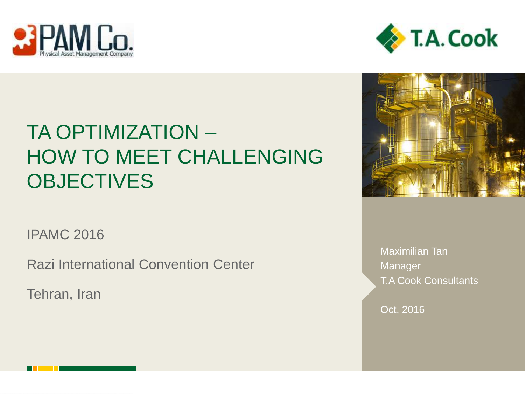



# TA OPTIMIZATION – HOW TO MEET CHALLENGING **OBJECTIVES**

IPAMC 2016

Razi International Convention Center

Tehran, Iran



Maximilian Tan **Manager** T.A Cook Consultants

Oct, 2016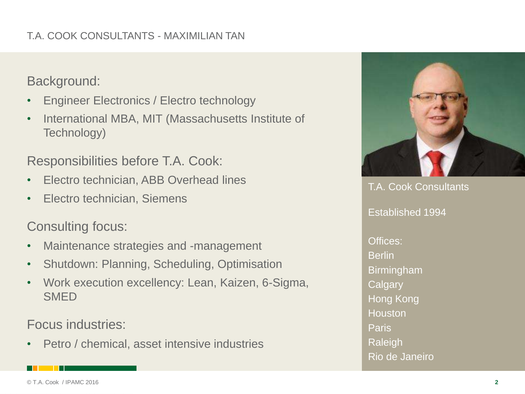### T.A. COOK CONSULTANTS - MAXIMILIAN TAN

Background:

- Engineer Electronics / Electro technology
- International MBA, MIT (Massachusetts Institute of Technology)

Responsibilities before T.A. Cook:

- Electro technician, ABB Overhead lines
- Electro technician, Siemens

Consulting focus:

- Maintenance strategies and -management
- Shutdown: Planning, Scheduling, Optimisation
- Work execution excellency: Lean, Kaizen, 6-Sigma, **SMED**

Focus industries:

• Petro / chemical, asset intensive industries



T.A. Cook Consultants Established 1994 Offices: Berlin Birmingham **Calgary** Hong Kong Houston Paris Raleigh Rio de Janeiro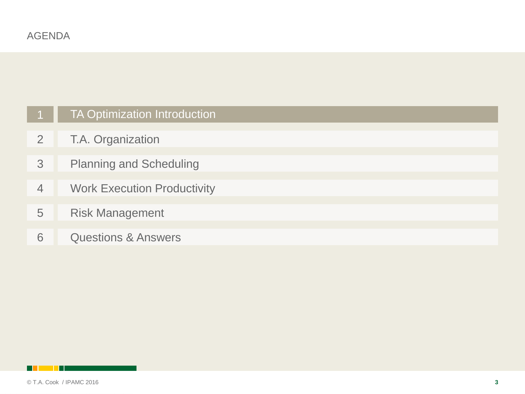|                | <b>TA Optimization Introduction</b> |
|----------------|-------------------------------------|
| 2              | T.A. Organization                   |
| 3              | <b>Planning and Scheduling</b>      |
| $\overline{4}$ | <b>Work Execution Productivity</b>  |
| 5              | <b>Risk Management</b>              |
| 6              | <b>Questions &amp; Answers</b>      |

<span id="page-2-0"></span>**Killed Ha**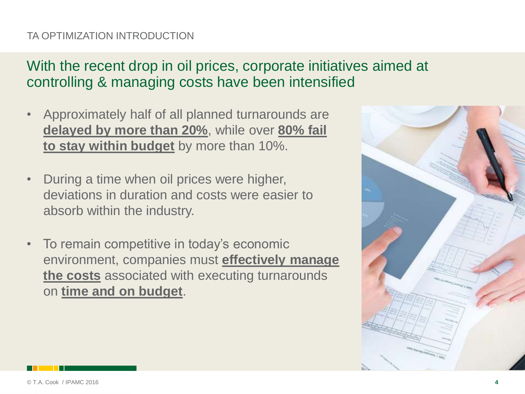### TA OPTIMIZATION INTRODUCTION

# With the recent drop in oil prices, corporate initiatives aimed at controlling & managing costs have been intensified

- Approximately half of all planned turnarounds are **delayed by more than 20%**, while over **80% fail to stay within budget** by more than 10%.
- During a time when oil prices were higher, deviations in duration and costs were easier to absorb within the industry.
- To remain competitive in today's economic environment, companies must **effectively manage the costs** associated with executing turnarounds on **time and on budget**.

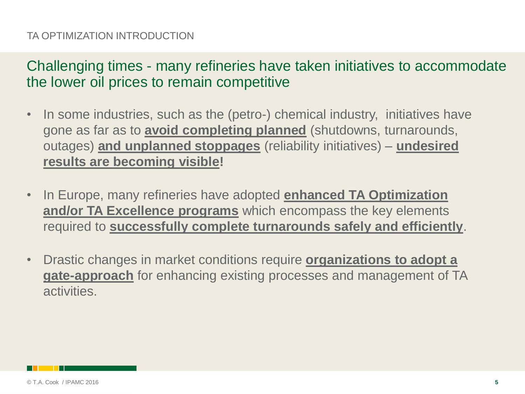### TA OPTIMIZATION INTRODUCTION

Challenging times - many refineries have taken initiatives to accommodate the lower oil prices to remain competitive

- In some industries, such as the (petro-) chemical industry, initiatives have gone as far as to **avoid completing planned** (shutdowns, turnarounds, outages) **and unplanned stoppages** (reliability initiatives) – **undesired results are becoming visible!**
- In Europe, many refineries have adopted **enhanced TA Optimization and/or TA Excellence programs** which encompass the key elements required to **successfully complete turnarounds safely and efficiently**.
- Drastic changes in market conditions require **organizations to adopt a gate-approach** for enhancing existing processes and management of TA activities.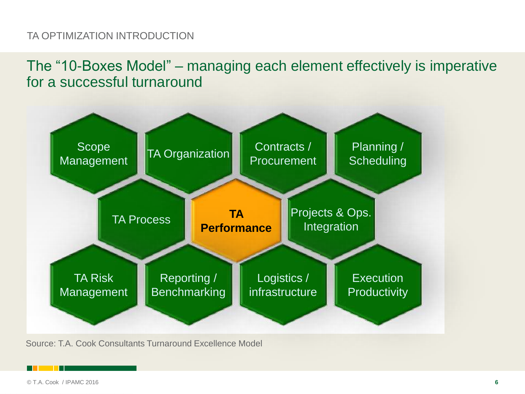### TA OPTIMIZATION INTRODUCTION

The "10-Boxes Model" – managing each element effectively is imperative for a successful turnaround



Source: T.A. Cook Consultants Turnaround Excellence Model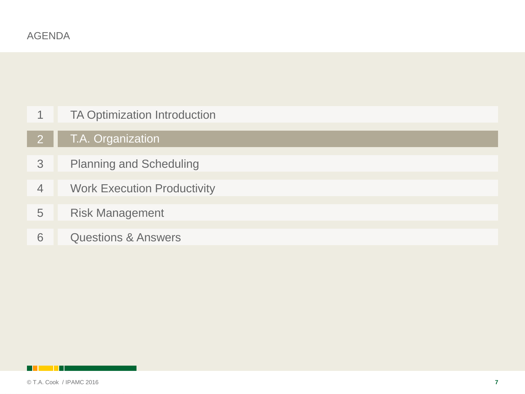| 1              | <b>TA Optimization Introduction</b> |
|----------------|-------------------------------------|
| $\overline{2}$ | T.A. Organization                   |
| 3              | <b>Planning and Scheduling</b>      |
| 4              | <b>Work Execution Productivity</b>  |
| 5              | <b>Risk Management</b>              |
| 6              | <b>Questions &amp; Answers</b>      |

<span id="page-6-0"></span>**Billian Party**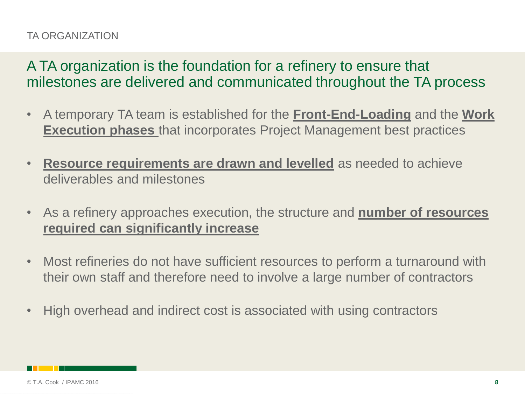### TA ORGANIZATION

A TA organization is the foundation for a refinery to ensure that milestones are delivered and communicated throughout the TA process

- A temporary TA team is established for the **Front-End-Loading** and the **Work Execution phases** that incorporates Project Management best practices
- **Resource requirements are drawn and levelled** as needed to achieve deliverables and milestones
- As a refinery approaches execution, the structure and **number of resources required can significantly increase**
- Most refineries do not have sufficient resources to perform a turnaround with their own staff and therefore need to involve a large number of contractors
- High overhead and indirect cost is associated with using contractors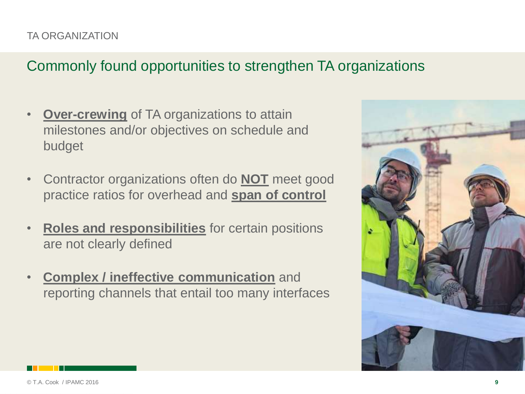# Commonly found opportunities to strengthen TA organizations

- **Over-crewing** of TA organizations to attain milestones and/or objectives on schedule and budget
- Contractor organizations often do **NOT** meet good practice ratios for overhead and **span of control**
- **Roles and responsibilities** for certain positions are not clearly defined
- **Complex / ineffective communication** and reporting channels that entail too many interfaces

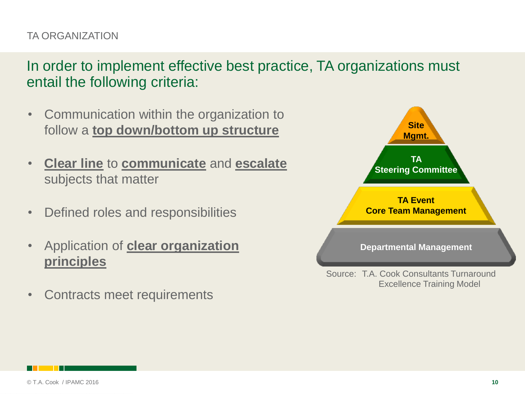### TA ORGANIZATION

In order to implement effective best practice, TA organizations must entail the following criteria:

- Communication within the organization to follow a **top down/bottom up structure**
- **Clear line** to **communicate** and **escalate** subjects that matter
- Defined roles and responsibilities
- Application of **clear organization principles**
- Contracts meet requirements

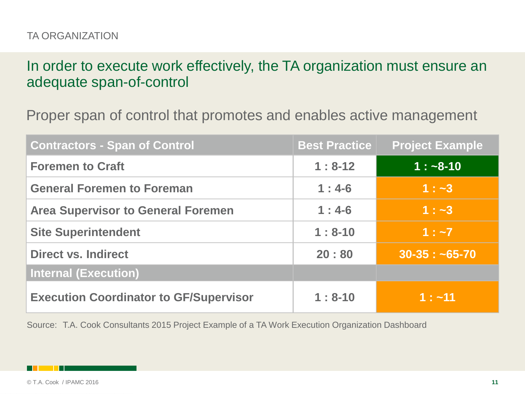In order to execute work effectively, the TA organization must ensure an adequate span-of-control

Proper span of control that promotes and enables active management

| <b>Contractors - Span of Control</b>          | <b>Best Practice</b> | <b>Project Example</b> |
|-----------------------------------------------|----------------------|------------------------|
| <b>Foremen to Craft</b>                       | $1:8-12$             | $1: -8-10$             |
| <b>General Foremen to Foreman</b>             | $1:4-6$              | $1: -3$                |
| <b>Area Supervisor to General Foremen</b>     | $1:4-6$              | $1: -3$                |
| <b>Site Superintendent</b>                    | $1:8-10$             | $1: -7$                |
| <b>Direct vs. Indirect</b>                    | 20:80                | $30-35:~5-70$          |
| <b>Internal (Execution)</b>                   |                      |                        |
| <b>Execution Coordinator to GF/Supervisor</b> | $1:8-10$             | $1: -11$               |

Source: T.A. Cook Consultants 2015 Project Example of a TA Work Execution Organization Dashboard

© T.A. Cook / IPAMC 2016 **11**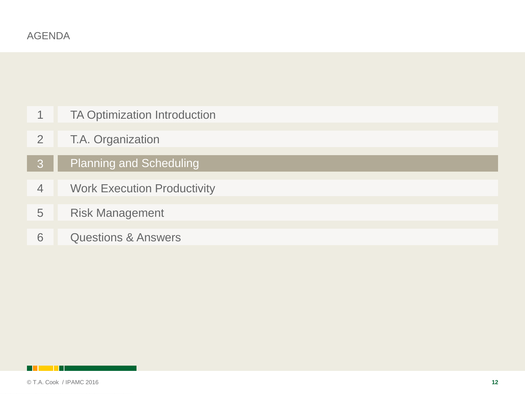| 1              | <b>TA Optimization Introduction</b> |
|----------------|-------------------------------------|
| 2              | T.A. Organization                   |
| 3              | <b>Planning and Scheduling</b>      |
| $\overline{4}$ | <b>Work Execution Productivity</b>  |
| 5              | <b>Risk Management</b>              |
| 6              | <b>Questions &amp; Answers</b>      |

<span id="page-11-0"></span>**Billian Party**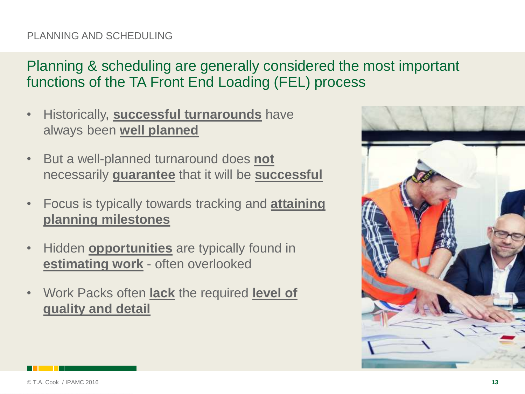### PLANNING AND SCHEDULING

# Planning & scheduling are generally considered the most important functions of the TA Front End Loading (FEL) process

- Historically, **successful turnarounds** have always been **well planned**
- But a well-planned turnaround does **not** necessarily **guarantee** that it will be **successful**
- Focus is typically towards tracking and **attaining planning milestones**
- Hidden **opportunities** are typically found in **estimating work** - often overlooked
- Work Packs often **lack** the required **level of quality and detail**

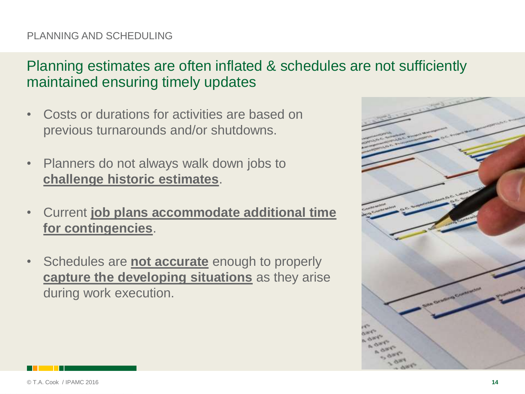### PLANNING AND SCHEDULING

## Planning estimates are often inflated & schedules are not sufficiently maintained ensuring timely updates

- Costs or durations for activities are based on previous turnarounds and/or shutdowns.
- Planners do not always walk down jobs to **challenge historic estimates**.
- Current **job plans accommodate additional time for contingencies**.
- Schedules are **not accurate** enough to properly **capture the developing situations** as they arise during work execution.

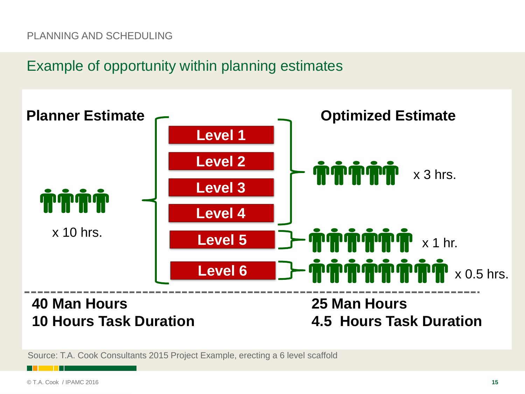### PLANNING AND SCHEDULING

### Example of opportunity within planning estimates



Source: T.A. Cook Consultants 2015 Project Example, erecting a 6 level scaffold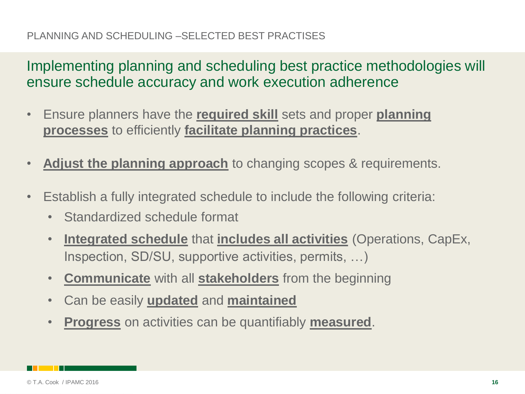### PLANNING AND SCHEDULING –SELECTED BEST PRACTISES

Implementing planning and scheduling best practice methodologies will ensure schedule accuracy and work execution adherence

- Ensure planners have the **required skill** sets and proper **planning processes** to efficiently **facilitate planning practices**.
- Adjust the planning approach to changing scopes & requirements.
- Establish a fully integrated schedule to include the following criteria:
	- Standardized schedule format
	- **Integrated schedule** that **includes all activities** (Operations, CapEx, Inspection, SD/SU, supportive activities, permits, …)
	- **Communicate** with all **stakeholders** from the beginning
	- Can be easily **updated** and **maintained**
	- **Progress** on activities can be quantifiably **measured**.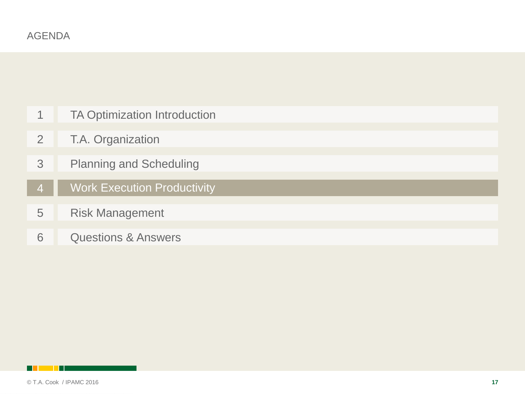| 1              | <b>TA Optimization Introduction</b> |
|----------------|-------------------------------------|
| 2              | T.A. Organization                   |
| 3              | <b>Planning and Scheduling</b>      |
| $\overline{4}$ | <b>Work Execution Productivity</b>  |
| 5              | <b>Risk Management</b>              |
| 6              | <b>Questions &amp; Answers</b>      |

<span id="page-16-0"></span>**Billian Party**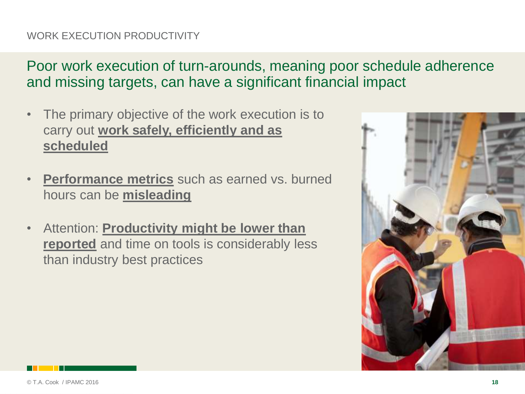### WORK EXECUTION PRODUCTIVITY

Poor work execution of turn-arounds, meaning poor schedule adherence and missing targets, can have a significant financial impact

- The primary objective of the work execution is to carry out **work safely, efficiently and as scheduled**
- **Performance metrics** such as earned vs. burned hours can be **misleading**
- Attention: **Productivity might be lower than reported** and time on tools is considerably less than industry best practices

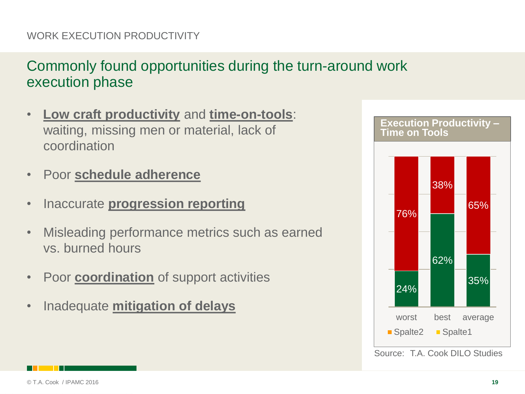### WORK EXECUTION PRODUCTIVITY

# Commonly found opportunities during the turn-around work execution phase

- **Low craft productivity** and **time-on-tools**: waiting, missing men or material, lack of coordination
- Poor **schedule adherence**
- Inaccurate **progression reporting**
- Misleading performance metrics such as earned vs. burned hours
- Poor **coordination** of support activities
- Inadequate **mitigation of delays**



Source: T.A. Cook DILO Studies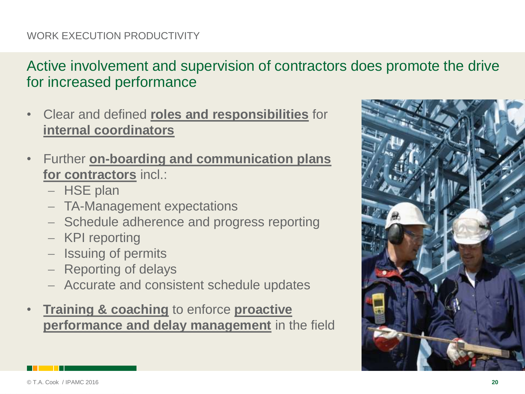### WORK EXECUTION PRODUCTIVITY

# Active involvement and supervision of contractors does promote the drive for increased performance

- Clear and defined **roles and responsibilities** for **internal coordinators**
- Further **on-boarding and communication plans for contractors** incl.:
	- HSE plan
	- TA-Management expectations
	- Schedule adherence and progress reporting
	- KPI reporting
	- Issuing of permits
	- Reporting of delays
	- Accurate and consistent schedule updates
- **Training & coaching** to enforce **proactive performance and delay management** in the field

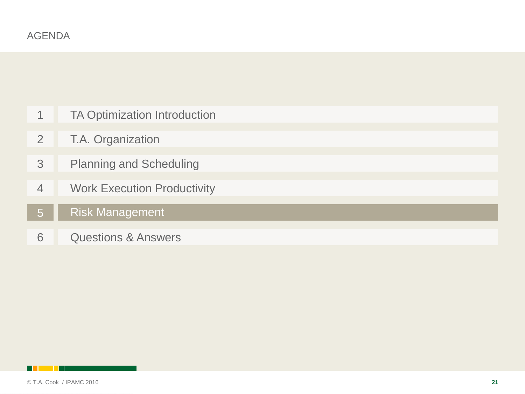|                | <b>TA Optimization Introduction</b> |
|----------------|-------------------------------------|
| $\overline{2}$ | T.A. Organization                   |
| 3              | <b>Planning and Scheduling</b>      |
| $\overline{4}$ | <b>Work Execution Productivity</b>  |
| 5              | <b>Risk Management</b>              |
| 6              | <b>Questions &amp; Answers</b>      |

<span id="page-20-0"></span>**Billian Bill**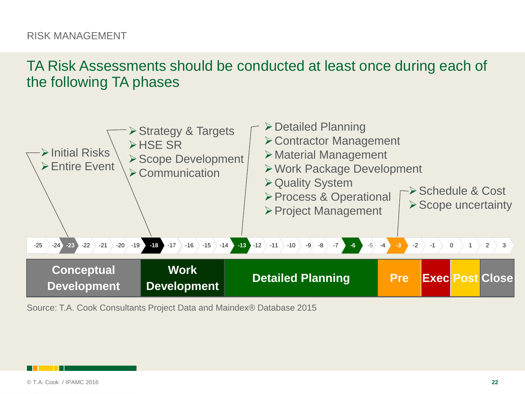TA Risk Assessments should be conducted at least once during each of the following TA phases



Source: T.A. Cook Consultants Project Data and Maindex® Database 2015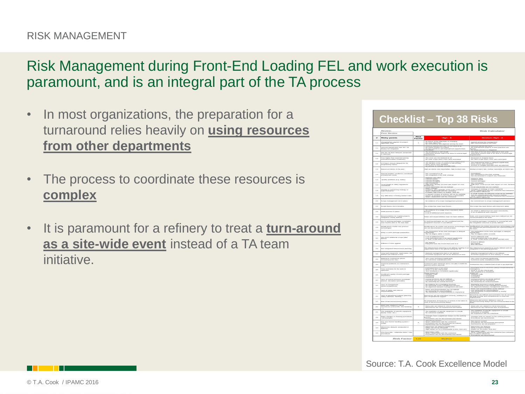Risk Management during Front-End Loading FEL and work execution is paramount, and is an integral part of the TA process

- In most organizations, the preparation for a turnaround relies heavily on **using resources from other departments**
- The process to coordinate these resources is **complex**
- It is paramount for a refinery to treat a **turn-around as a site-wide event** instead of a TA team initiative.

|                | <b>Checklist - Top 38 Risks</b>                                              |                |                                                                                                                                                                                                                                                                                        |                                                                                                                                                                            |  |
|----------------|------------------------------------------------------------------------------|----------------|----------------------------------------------------------------------------------------------------------------------------------------------------------------------------------------------------------------------------------------------------------------------------------------|----------------------------------------------------------------------------------------------------------------------------------------------------------------------------|--|
|                | Review.<br><b>Risk Calculator</b><br>Peer Review                             |                |                                                                                                                                                                                                                                                                                        |                                                                                                                                                                            |  |
|                | <b>Risky points</b>                                                          | Risk<br>Factor | $Hiah - 5$                                                                                                                                                                                                                                                                             | Medium High - 4                                                                                                                                                            |  |
| $^{4.4}$       | .<br>Changing/Non aligned TA project<br>objectives (Top)                     | $\overline{a}$ | Not feature and thus migrantizers are absorping<br>the line since subjectives are absorping that since subjectives and alignment account the sum<br>of Lawsson's interesting from land TA run since an all this metals<br>responses to                                                 | Agreed among the management<br>Not communicated to the team                                                                                                                |  |
| $^{4.4}$       | <b>Lessures learned from last TA / TA</b><br>Review red integrated           |                |                                                                                                                                                                                                                                                                                        | Lancearre (marrand arm slore)<br>Pitt impresservent projectie or band practicers are<br>ferium)                                                                            |  |
| $\ddot{ }$     | -<br>Law than T.A. Issuers stategrent, presignmental<br>an elatermat?        |                | The timeterne is still smalle as a server to extent legal                                                                                                                                                                                                                              | No review process is integrated.<br>The state of TA has been deferred to rent year.<br>Alternative actions have to be done to extend legal                                 |  |
|                |                                                                              |                |                                                                                                                                                                                                                                                                                        |                                                                                                                                                                            |  |
| t.a            | .<br>Inst higher than expected (severg                                       |                | .<br>The conts are not reviewed at all.<br>No clear scope when costs were estimated<br>The dunation of the TA could extend significantly                                                                                                                                               | .<br>Plentenaavi sen imagutar karsis.<br>Nis olear sengue valuen emitis vanne estimated.                                                                                   |  |
| $\sim$         | .<br>Cil Project closure delayed for TA<br>(engineering status)              |                | The duration of the Ci propert is still<br>Risky points were identified<br>isms to mitigate possible risks                                                                                                                                                                             | .<br>The engineering status is delayed significantly<br>Actions to mitigate possible risks are planned                                                                     |  |
| $^{4-4}$       | lations accelerate in the meet                                               |                | Saty accelebrate, nate (respondable). North inscistent nate                                                                                                                                                                                                                            | <b>Southern benefictions and an international communication</b>                                                                                                            |  |
| <b>Cold</b>    | .<br>Eperial weather conditions conside<br>Journalment work)                 |                | Net considered at all<br>Net integrated in the HSE strategy.                                                                                                                                                                                                                           | <b>First integrated to the HISE strategy</b><br>Not documented to support any massure                                                                                      |  |
| <b>Cold</b>    | Quality problems (e.g. leaks)                                                |                | Happens very efter<br>Caused novels<br>Caused demapes<br>Caused anniferin                                                                                                                                                                                                              | Happens often<br>Causad rewerk<br>Causad demap                                                                                                                             |  |
| <b>Cold</b>    | moal Health & safety regulations                                             |                |                                                                                                                                                                                                                                                                                        | Not correctement<br>salties could consum with impact on cost, dur                                                                                                          |  |
|                |                                                                              |                | a marking administrative and with impact set mest.<br>Historicity and the set of the set of the set of the set of the set of the set of the set of the set of the se<br>Afapor elvaregen.<br>Problems volth capability of the main contractor<br>Never milaterated with the contractor | Louisel schedunfreiber ann rock investigent                                                                                                                                |  |
| s.c            | Change in contracting strategy or                                            |                |                                                                                                                                                                                                                                                                                        | Changes in strategy or main contractor<br>Niewe cellatorated with the contractor but Com<br>as excellent references                                                        |  |
| $^{4.6}$       | <b>Loy oblications in finding shilled crafts</b>                             |                | Persinalista kauta perustaan van mendelaja (* 1988)<br>2. ruhus – Partis Sermanni and verskaren vald rust kun mendelaja<br>19 papast van skonskier of verskaren vald rust kun mendelaja<br>19 papast van skonskier om tierre francisco                                                 | A small reamber of craftsman could not be available<br>Can be compensated with resource leveling<br>Never collaborated with the contractor but Contracts<br>a manufiero co |  |
| $^{2.2}$       | <b>Common responsessmented root in educate</b>                               |                | No estderate of a score management enough                                                                                                                                                                                                                                              | No commitment to scope management engines                                                                                                                                  |  |
| 2.2            | <b>Lossey freezew runt in timeding</b>                                       |                | The screen has never learn freezer.                                                                                                                                                                                                                                                    | The summer has been frozen with bone term delay                                                                                                                            |  |
| $\overline{a}$ | <b>LWR process in place</b>                                                  |                | No estimate of a season of an encoderate AWB                                                                                                                                                                                                                                           | An AWR is defined to trust speed consistently                                                                                                                              |  |
| 2.3            | <b>Responsibilities for Capital projects</b><br>Internation clearly defined  |                | itussen.<br>A lot of arbitismal work responsin<br>below and research@ittes have not been defined                                                                                                                                                                                       | .<br>Plaies and responsibilities have been defined to/ not                                                                                                                 |  |
|                |                                                                              |                |                                                                                                                                                                                                                                                                                        |                                                                                                                                                                            |  |
| 2.3            | .<br>In Cl working packages completed<br>ine months prior to TA start date   |                | .<br>Cl working packages are not completed and the<br>interesting structure is not defined.                                                                                                                                                                                            | .<br>Ci werking packages completion is nonning late and<br>the internation structure is county defined.                                                                    |  |
| 2.3            | Montifications involve new process                                           |                | .<br>Monitiusticum de involve ronx process technologies that<br>are not decorrented or communication.                                                                                                                                                                                  | Montifications do involve new process technologies that<br>are defined and documented but not communicated to<br>the team.                                                 |  |
| 3.4            | belay in work package preparation                                            |                | .<br>The proposation of the work packages is delayed<br>The TA largins within 1 month                                                                                                                                                                                                  | The proposation of the work packages is delayed<br>ignificantly<br>The TA lengins within 3 month                                                                           |  |
| 3.1            | .<br>Tom much additional scope (alter<br>freeze)                             |                | A lot of additional world<br>Creat extinuation has to be raised significantly<br>A "final" scope freeze is not foreseeded                                                                                                                                                              | <b>Serve additional</b> w<br>Cont estimation has to be raised<br>A "fruit" soupe from a bould be reached so                                                                |  |
| $\overline{a}$ | Different IT tools applied                                                   |                | Pént definent<br>Elveryonne users the IT-tool that suits to it.                                                                                                                                                                                                                        | (Trianglin, defense)<br><b>Pása trusirumi</b><br>Eksel sellistadiom                                                                                                        |  |
| 3.3            | lon integrated inhastructure planning                                        |                | .<br>The inhanimetration planning is ret defined, leading to a<br>erganization that is ret spitmal during the TA                                                                                                                                                                       | .<br>The infrastructure planning is poorly defined and not<br>integrated in the planning process.                                                                          |  |
| 3.4            | orig lead equipment, space parts, red<br>elimit and colored in time          |                | .<br>Material management plan is not delined.<br>Essential expipreent will not be delivered on time.                                                                                                                                                                                   | .<br>Material management plan is not defined.<br>Essential expipment on time delivery is unsafe                                                                            |  |
|                |                                                                              |                |                                                                                                                                                                                                                                                                                        |                                                                                                                                                                            |  |
| 3.4            | Material & Contractors prices                                                |                | TA's costs increased significantly                                                                                                                                                                                                                                                     | .<br>TA's costs increased significantly<br>Rulestitute partly auxilable/possible                                                                                           |  |
| 3.4            | Pinancial problems on contractor's                                           |                | .<br>Seminasion gears isambrupt and is rest able to fulfil the<br>danned service anymous.                                                                                                                                                                                              | thousands have a relative level of risk to see in<br>Estimated time is too short, partly compensated by                                                                    |  |
| 3.6            | Time extension for the work to                                               |                | Estimated time is too short<br>manusculum and the critical patio<br>"A's tirrodozene in increased significantly                                                                                                                                                                        | continuously and the term where<br>Week is our the estimal path .<br>This terminares is increased<br>valued on:                                                            |  |
| $\overline{a}$ | <b>Executives and quality of work package</b>                                |                | many impass on<br>ishin crafts                                                                                                                                                                                                                                                         | associateix cratin                                                                                                                                                         |  |
| A.L            | ch of certiral furnitions (scheoluler,<br>cross, discipline specialist)<br>ż |                | -<br>Certral krontiers are rot debred<br>Parctizes are red dere consistently<br>No committe for central functions                                                                                                                                                                      | Central hasciters are powly defined<br>Paretters are not centralized<br>No manerably for central functions                                                                 |  |
| A.L            | Lack of management                                                           |                | .<br>No extelerum for a managing structure<br>No eligement between management Anction.<br>No eligement between management and team                                                                                                                                                     | .<br>Marvaging sinasium is poorly delined<br>Paur memenhip of the management function.<br>No alignment fortween management and team                                        |  |
| 4.1            | Lach of clarity over roles &                                                 |                | .<br>Pleikes arut emgenesülektikes arm ruut ekolimist<br>Plus etestelteation of responsesülektikes is imprav                                                                                                                                                                           | <b>Roles and responsibilities poorly defined</b><br>Lew ownership for responsibilities<br>The distribution of responsibilities is mostly                                   |  |
|                | ш,                                                                           |                |                                                                                                                                                                                                                                                                                        | .<br>Plancouroum are defined and estimated, but do not n<br>the level of skills and competencies to meet the                                                               |  |
| 4.1            | anch of operational support (planning,<br>calinty watchers, SD/SU)           |                | .<br>Menusawan are red estimated comedy, leading to a<br>lack of operational support.                                                                                                                                                                                                  |                                                                                                                                                                            |  |
| A.L            | lish of decommissioning delays                                               |                | .<br>No proparation of massacras or autions to be taken in                                                                                                                                                                                                                             | Measures and actions defined in case of<br>decommissioning delays last net communica                                                                                       |  |
| A.L            | Marry jobs related to editical<br>ressurances (critical life, line lowaking  | $\mathbf{a}$   | Marry joins are related to critical resistances.<br>Ressurances are not minimized and trained                                                                                                                                                                                          | .<br>Marry jobs are related to oritoal ressurances.<br>Messaxiries are trained but lank of excerters                                                                       |  |
| 4.4            | ow availability of spacific equipment<br>wave crame, ato.)                   |                | The associately of speculic expanses is urrade                                                                                                                                                                                                                                         | The availability of specific expápment is smade<br>Balestitute is available<br>No experience with the substitute                                                           |  |
| $\sim$         | .<br>Major changes in clearing procedures                                    |                | Changes have a significant impact on the working<br>77<br>.<br>Human and rust documented and train                                                                                                                                                                                     | Changes have an impact on the working process                                                                                                                              |  |
| 4.3            | Any rane Permit handling system /                                            | $\alpha$       | :<br>Sant parenti system<br>Sant parlabarated with the excitement<br>Presentation are red democracized rue tealred<br>Perenissions are red prepared                                                                                                                                    | New permit system<br>Premediates are demarramient and trained<br>Permissions are not prepared                                                                              |  |
|                | Milestones delayed, postponed or                                             |                |                                                                                                                                                                                                                                                                                        |                                                                                                                                                                            |  |
| A-A            |                                                                              |                | .<br>Delay man me delayani significantly<br>High impact on TA is foreseeable (n<br>makin (costs, time etc)<br>New texts / Inte                                                                                                                                                         | Milenteron are delayed<br>Delay is hard to recover<br>Impact on TA (costs, tim                                                                                             |  |
| 4.6            | Pirst time jobs - unfemilier tests / new                                     |                | Newer collaborated with the contractor.<br>Procedures are not documented and trained                                                                                                                                                                                                   | request such a Council, went may<br>Howe exhibite distribution with the continuation but corri<br>Pennediation relaxation<br>Pennediation and decourageded                 |  |
|                |                                                                              |                |                                                                                                                                                                                                                                                                                        |                                                                                                                                                                            |  |

Source: T.A. Cook Excellence Model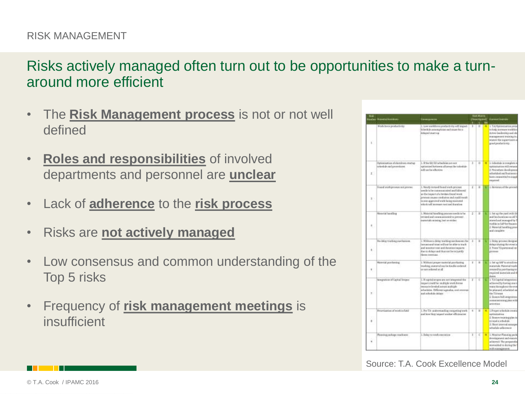### Risks actively managed often turn out to be opportunities to make a turnaround more efficient

- The **Risk Management process** is not or not well defined
- **Roles and responsibilities** of involved departments and personnel are **unclear**
- Lack of **adherence** to the **risk process**
- Risks are **not actively managed**
- Low consensus and common understanding of the Top 5 risks
- Frequency of **risk management meetings** is insufficient

|    | <b>Warehold Equition of</b>                                |                                                                                                                                                                                                                                                                   |    |              |                | <b>BAMIN</b><br>(Badand) Developsis                                                                                                                                                                                    |  |
|----|------------------------------------------------------------|-------------------------------------------------------------------------------------------------------------------------------------------------------------------------------------------------------------------------------------------------------------------|----|--------------|----------------|------------------------------------------------------------------------------------------------------------------------------------------------------------------------------------------------------------------------|--|
|    |                                                            |                                                                                                                                                                                                                                                                   |    |              |                |                                                                                                                                                                                                                        |  |
| k. | Wark force productivity                                    | I law weldore predecivity will mpact<br>A Miles has been teaching which slowers<br>delayed morris                                                                                                                                                                 | N. | ΙH           | $\overline{M}$ | L.TA/Outinstiation.pres<br>to help aucrease workfor<br>Artist backroids and of<br>instrugencent training in<br>enator the expertaints<br>good assistance rep.                                                          |  |
| X. | Synthesis of Abraham and Harac<br>schedule and procedures. | 1. The SO/RFatashier are will<br>spitzungsel between all wennt ihn sekiedide<br>will too the offereing. Continuum                                                                                                                                                 | ä  | ü            |                | <sup>14</sup> 1 Schedule in rempleta-<br>internation still remen<br>2. Procedure developme<br>achestated need business.<br>hare compained to dopp<br>required.                                                         |  |
| 11 | Found wide joyceus act powers                              | 1. We urly invised finand warh process.<br>ineeds to be monotonized of and fallowed<br>avidus toget of a broken freque work<br>process causes condusion and coald tends:<br>is a new gap of a wide loop and a site<br>and/arts Data Instrument Reserves the ideal | 2  | $_{11}$      |                | 8.5 Librarian of the proced                                                                                                                                                                                            |  |
| ÷  | Maxarial Tomething                                         | 1. Moterial handling promote needs to be<br>revised and communicated to prevent<br>ananarishi untarrug, lash se station                                                                                                                                           | z  | H            | ш              | 1. Set up the yard with 5.<br>and his locations as all?<br>stimed and teasuged for<br>vtadola ca háž kor financo<br>2. Mannvial handling pro-<br>and complete                                                          |  |
| š, | No deby touching purchasines.                              | 1. Without a delicy tracking mechanism the<br>discussion with voltage and the career design<br>and modern ordered and choose a great<br>the to doley's and thus not be to justify<br>Here's determine.                                                            | x  | $\mathbf{u}$ |                | 1. Delay prosessi designe<br>dataya during the woods<br>2. Treas TA parsonadica<br>рения                                                                                                                               |  |
| ٠  | Nativial positioning                                       | 1. Without present moterial paintiaking<br>tracking warertal can be forded codered<br>Be in former occurs.                                                                                                                                                        | s. | и            | s.             | 1. bet up IAP to avoid re-<br>materials Material travi<br>nysted he perchaning to<br>required materials and a<br>dates                                                                                                 |  |
|    | <b>Singration of Capital System</b>                        | 1.9 suprished access are not belongstated that<br>import coald be intuitely work forms<br>registe a served provident mission's<br>schedules. Oifferent agendis, cost coverage.<br>and schools deluge 1999. A control of                                           | г  | τ            | ٠              | 3. TA Capital Integration<br>achivend by furting start<br>man though out the evi-<br>by plantand, schoolabed as<br><b>Car TA triest</b><br>I Drawn hill integrators<br>contract and including column in 20<br>anternoo |  |
| ×  | Presentazioni al work in fakil                             | 1. Pro TA- understanding competing tetels.<br>middle halon than the pid their                                                                                                                                                                                     | 4  | и            | Ħ.             | Life specialized de creati<br>surfaultation<br>2. Downey training place<br>to read a schools.<br>3. Short interest russiage<br>tehedalo adarrence                                                                      |  |
|    | Ratestral package readbant.                                | 1. Balay to retelestabilities                                                                                                                                                                                                                                     | ı  | c            |                | <b>H</b>   L. Moschur Plantating part<br>densitizement and music<br>attered The prepared:<br>stanywhed to sharing the<br><b>WATER STANDARD MATERIALS</b>                                                               |  |

Source: T.A. Cook Excellence Model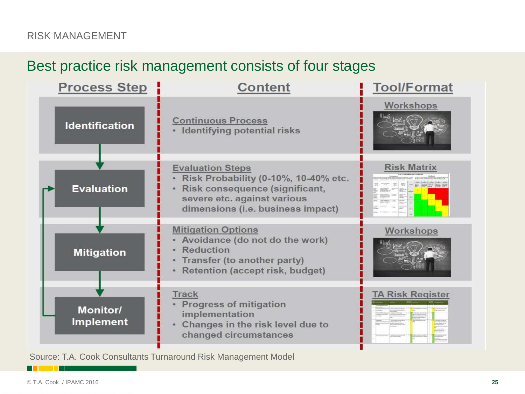### Best practice risk management consists of four stages



Source: T.A. Cook Consultants Turnaround Risk Management Model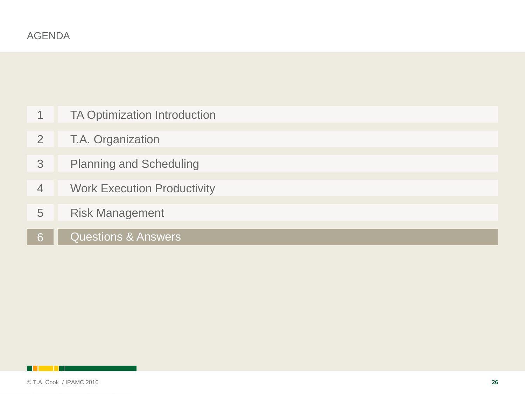| 1              | <b>TA Optimization Introduction</b> |
|----------------|-------------------------------------|
| 2              | T.A. Organization                   |
| 3              | <b>Planning and Scheduling</b>      |
| $\overline{4}$ | <b>Work Execution Productivity</b>  |
| 5              | <b>Risk Management</b>              |
| 6              | <b>Questions &amp; Answers</b>      |

<span id="page-25-0"></span>**Killed Ha**